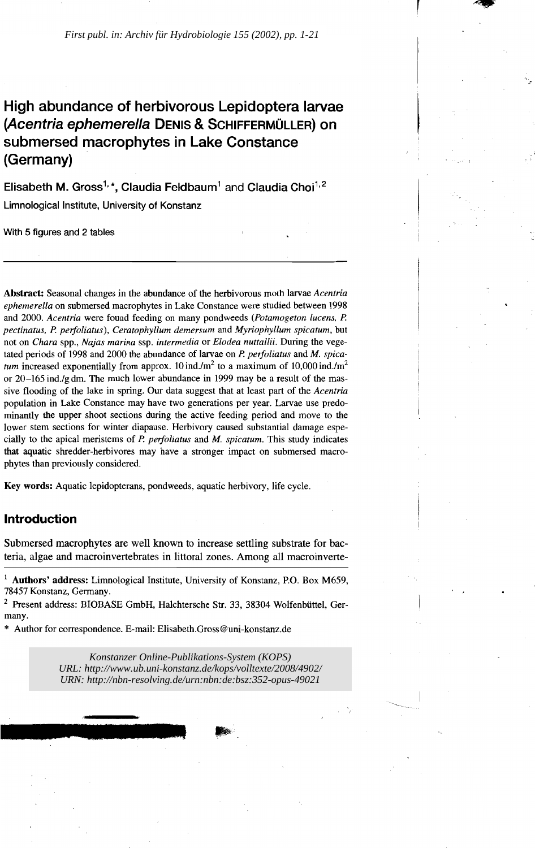# High abundance of herbivorous Lepidoptera larvae (Acentria ephemerella DENIS & SCHIFFERMÜLLER) on submersed macrophytes in Lake Constance (Germany)

Elisabeth M. Gross<sup>1,</sup>\*, Claudia Feldbaum<sup>1</sup> and Claudia Choi<sup>1,2</sup> Limnological Institute, University of Konstanz

With 5 figures and 2 tables

Abstract: Seasonal changes in the abundance of the herbivorous moth larvae *Acentria ephemere/la* on submersed macrophytes in Lake Constance were studied between 1998 and 2000. *Acentria* were found feeding on many pondweeds *(Potamogeton lucens, P. pectinatus, P. perfoliatus), Ceratophyllum demersum* and *Myriophyllum spicatum,* but not on *Chara* spp., *Najas marina* ssp. *intermedia* or *Elodea nuttallii.* During the vegetated periods of 1998 and 2000 the abundance of larvae on *P. perfoliatus* and *M. spicatum* increased exponentially from approx. 10 ind./m<sup>2</sup> to a maximum of 10,000 ind./m<sup>2</sup> or  $20-165$  ind./g dm. The much lower abundance in 1999 may be a result of the massive flooding of the lake in spring. Our data suggest that at least part of the *Acentria* population in Lake Constance may have two generations per year. Larvae use predominantly the upper shoot sections during the active feeding period and move to the lower stem sections for winter diapause. Herbivory caused substantial damage especially to the apical meristems of *P. perfoliatus* and *M. spicatum.* This study indicates that aquatic shredder-herbivores may have astronger impact on submersed macrophytes than previously considered.

Key words: Aquatic lepidopterans, pondweeds, aquatic herbivory, life cycle.

# Introduction

Submersed macrophytes are weIl known to increase settling substrate for bacteria, algae and macroinvertebrates in littoral zones. Among all macroinverte-

*Konstanzer Online-Publikations-System (KOPS)* © 2002 E. Schweizerbart'sche Verlagsbuchhandlung, D-70176 Stuttgart *URL: <http://www.ub.uni-konstanz.de/kops/volltexte/2008/4902/> URN: <http://nbn-resolving.de/urn:nbn:de:bsz:352-opus-49021>*

 $1$  Authors' address: Limnological Institute, University of Konstanz, P.O. Box M659, 78457 Konstanz, Germany.

<sup>2</sup> Present address: BIOBASE GmbH, Halchtersche Str. 33, 38304 Wolfenbüttel, Germany.

<sup>\*</sup> Author for correspondence. E-mail: Elisabeth.Gross@uni-konstanz.de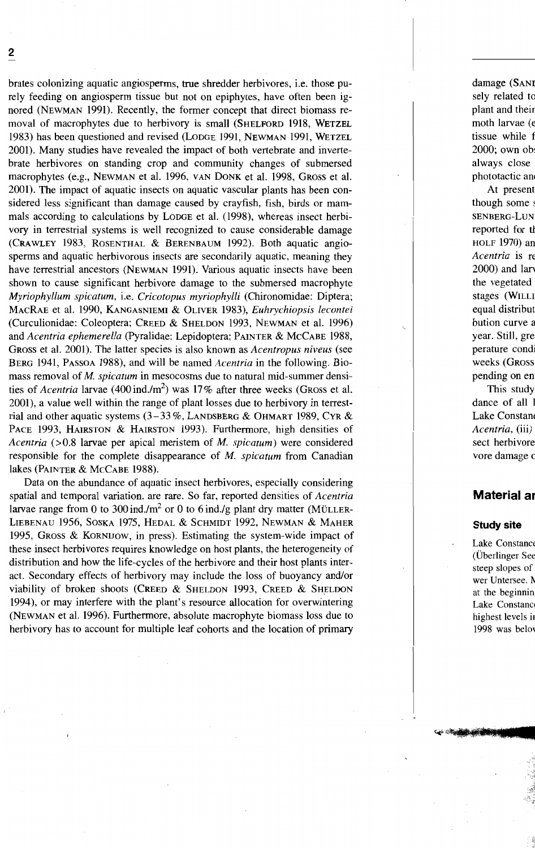brates colonizing aquatic angiosperms, true shredder herbivores, i.e. those purely feeding on angiosperm tissue but not on epiphytes, have often been ignored (NEWMAN 1991). Recently, the former concept that direct biomass removal of macrophytes due to herbivory is small (SHELFORD 1918, WETZEL 1983) has been questioned and revised (LoDGE 1991, NEWMAN 1991, WETZEL 2001). Many studies have revealed the impact of both vertebrate and invertebrate herbivores on standing crop and community changes of submersed macrophytes (e.g., NEWMAN et al. 1996, VAN DONK et al. 1998, GROSS et al. 2001). Tbe impact of aquatic insects on aquatic vascular plants has been considered less significant than damage caused by crayfish, fish, birds or mammals according to calculations by LODGE et al. (1998), whereas insect herbivory in terrestrial systems is well recognized to cause considerable damage (CRAWLEY 1983, ROSENTHAL & BERENBAUM 1992). Both aquatic angiosperms and aquatic herbivorous insects are secondarily aquatic, meaning they have terrestrial ancestors (NEWMAN 1991). Various aquatic insects have been shown to cause significant herbivore damage to the submersed macrophyte *Myriophyllum spicatum,* i.e. *Cricotopus myriophylli* (Chironornidae: Diptera; MACRAE et al. 1990, KANGASNIEMI & OLIVER 1983), *Euhrychiopsis lecontei* (Curculionidae: Coleoptera; CREED & SHELDON 1993, NEWMAN et al. 1996) and *Acentria ephemerella* (Pyralidae: Lepidoptera; PAINTER & MCCABE 1988, GROSS et al. 2001). The latter species is also known as *Acentropus niveus* (see BERG 1941, PASSOA 1988), and will be named *Acentria* in the following. Biomass removal of *M. spicatum* in mesocosms due to natural mid-summer densities of *Acentria* larvae (400 ind./m<sup>2</sup>) was 17% after three weeks (GROSS et al. 2001), a value well within the range of plant losses due to herbivory in terrestrial and other aquatic systems (3-33 %, LANDSBERG & OHMART 1989, CYR & PACE 1993, HAIRSTON & HAIRSTON 1993). Furthermore, high densities of *Acentria* (>0.8 larvae per apical meristem of *M. spicatum)* were considered responsible for the complete disappearance of *M. spicatum* from Canadian lakes (PAINTER & MCCABE 1988).

Data on the abundance of aquatic insect herbivores, especially considering spatial and temporal variation, are rare. So far. reported densities of *Acentria* larvae range from 0 to 300 ind./m<sup>2</sup> or 0 to 6 ind./g plant dry matter (MÜLLER-LIEBENAU 1956, SOSKA 1975, HEDAL & SCHMIDT 1992, NEWMAN & MAHER 1995, GROSS & KORNIJOW, in press). Estimating the system-wide impact of these insect herbivores requires knowledge on host plants, the heterogeneity of distribution and how the life-cydes of the herbivore and their host plants interact. Secondary effects of herbivory may include the loss of buoyancy and/or viability of broken shoots (CREED & SHELDON 1993, CREED & SHELDON 1994), or may interfere with the plant's resource allocation for overwintering (NEWMAN et al. 1996). Furthermore, absolute macrophyte biomass loss due to herbivory has to account for multiple leaf cohorts and the location of primary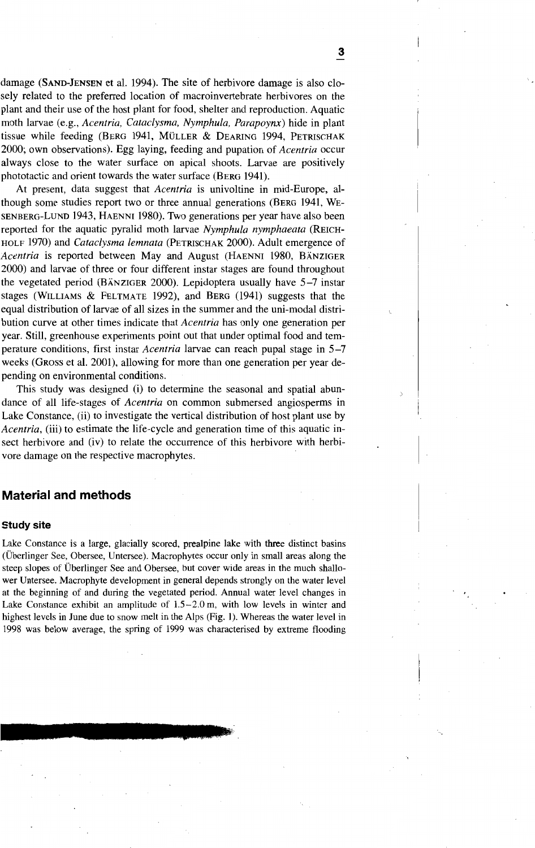damage (SAND-JENSEN et al. 1994). The site of herbivore damage is also dosely related to the preferred loeation of maeroinvertebrate herbivores on the plant and their use of the host plant for food, shelter and reproduetion. Aquatie moth larvae (e.g., *Acentria, Cataclysma, Nymphula, Parapoynx)* hide in plant tissue while feeding (BERG 1941, MÜLLER & DEARING 1994, PETRISCHAK 2000; own observations). Egg laying, feeding and pupation of *Acentria* oeeur always dose to the water surfaee on apieal shoots. Larvae are positively phototactic and orient towards the water surface (BERG 1941).

At present, data suggest that *Acentria* is univoltine in mid-Europe, although some studies report two or three annual generations (BERG 1941, WE-SENBERG-LuND 1943, HAENNI 1980). Two generations per year have also been reported for the aquatie pyralid moth larvae *Nymphula nymphaeata* (REICH-HOLF 1970) and *Cataclysma lemnata* (PETRISCHAK 2000). Adult emergenee of *Acentria* is reported between May and August (HAENNI 1980, BÄNZIGER 2000) and larvae of three or four different instar stages are found throughout the vegetated period (BÄNZIGER 2000). Lepidoptera usually have 5-7 instar stages (WILLIAMS & FELTMATE 1992), and BERG (1941) suggests that the equal distribution of larvae of all sizes in the summer and the uni-modal distribution eurve at other times indieate that *Acentria* has only one generation per year. Still, greenhouse experiments point out that under optimal food and temperature eonditions, first instar *Acentria* larvae ean reaeh pupal stage in 5-7 weeks (GROSS et al. 2001), allowing for more than one generation per year depending on environmental eonditions.

This study was designed (i) to deterrnine the seasonal and spatial abundanee of all life-stages of *Acentria* on eommon submersed angiosperrns in Lake Constanee, (ii) to investigate the vertieal distribution of host plant use by *Acentria,* (iii) to estimate the life-eyde and generation time of this aquatie insect herbivore and (iv) to relate the occurrence of this herbivore with herbivore damage on the respeetive maerophytes.

# **Material and methods**

#### **Study site**

Lake Constance is a large, glacially scored, prealpine lake with three distinct basins (Überlinger See, Obersee, Untersee). Macrophytes occur only in small areas along the steep slopes of Überlinger See and Obersee, but cover wide areas in the much shallower Untersee. Macrophyte development in general depends strongly on the water level at the beginning of and during the vegetated period. Annual water level changes in Lake Constance exhibit an amplitude of 1.5-2.0 m, with low levels in winter and highest levels in June due to snow melt in the Alps (Fig. I). Whereas the water level in 1998 was below average, the spring of 1999 was characterised by extreme flooding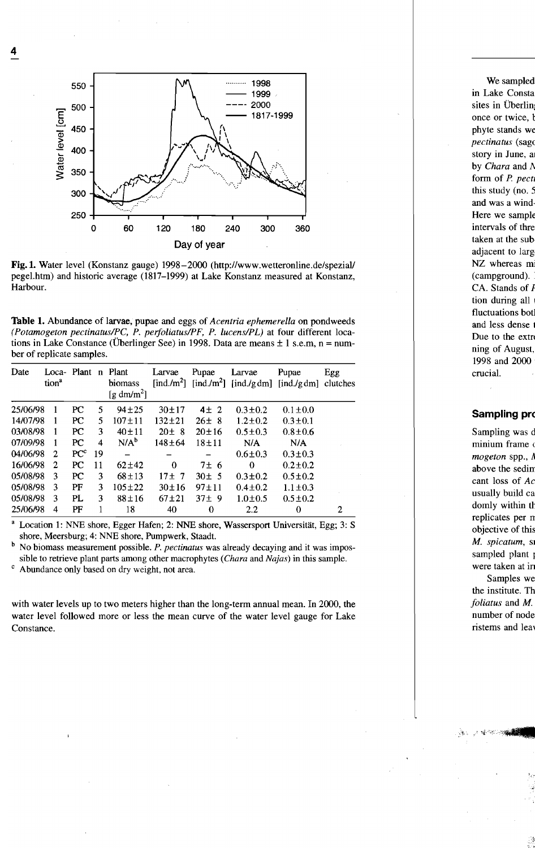

Fig.l. Water level (Konstanz gauge) 1998-2000 (http://www.wetteronline.de/spezial/ pegel.htm) and historic average (1817-1999) at Lake Konstanz measured at Konstanz, Harbour.

Table 1. Abundance of larvae, pupae and eggs of *Aeentria ephemerella* on pondweeds *(Potamogeton peetinatuslPC, P. perfoliatuslPF, P. lueenslPL)* at four different locations in Lake Constance (Überlinger See) in 1998. Data are means  $\pm 1$  s.e.m, n = number of replicate samples.

| Date     | Loca- Plant<br>tion <sup>a</sup> |                 |                         | n Plant<br>biomass<br>[g dm/m <sup>2</sup> ] | Larvae       | Pupae       | Larvae        | Pupae<br>[ind./m <sup>2</sup> ] [ind./m <sup>2</sup> ] [ind./gdm] [ind./gdm] clutches | Egg |
|----------|----------------------------------|-----------------|-------------------------|----------------------------------------------|--------------|-------------|---------------|---------------------------------------------------------------------------------------|-----|
| 25/06/98 |                                  | PC              | 5                       | $94 + 25$                                    | $30 + 17$    | $4\pm 2$    | $0.3 \pm 0.2$ | $0.1 \pm 0.0$                                                                         |     |
| 14/07/98 | 1                                | PC              | 5                       | $107 \pm 11$                                 | $132 + 21$   | $26 \pm 8$  | $1.2 \pm 0.2$ | $0.3 \pm 0.1$                                                                         |     |
| 03/08/98 |                                  | PC              | 3                       | $40 \pm 11$                                  | $20 \pm 8$   | $20 \pm 16$ | $0.5 \pm 0.3$ | $0.8 \pm 0.6$                                                                         |     |
| 07/09/98 |                                  | PC.             | $\overline{\mathbf{4}}$ | $N/A^b$                                      | $148 \pm 64$ | $18 + 11$   | N/A           | N/A                                                                                   |     |
| 04/06/98 | $\mathbf{2}$                     | PC <sup>c</sup> | 19                      |                                              |              |             | $0.6 \pm 0.3$ | $0.3 \pm 0.3$                                                                         |     |
| 16/06/98 | $\overline{2}$                   | PC.             | 11                      | $62 + 42$                                    | $\Omega$     | 7±6         | $\Omega$      | $0.2 \pm 0.2$                                                                         |     |
| 05/08/98 | 3                                | PC              | 3                       | $68 \pm 13$                                  | $17 \pm 7$   | $30 \pm 5$  | $0.3 \pm 0.2$ | $0.5 \pm 0.2$                                                                         |     |
| 05/08/98 | 3                                | PF              | 3                       | $105 \pm 22$                                 | $30 \pm 16$  | $97 + 11$   | $0.4 \pm 0.2$ | $1.1 \pm 0.3$                                                                         |     |
| 05/08/98 | 3                                | PL              | 3                       | $88 + 16$                                    | $67 + 21$    | $37 + 9$    | $1.0 + 0.5$   | $0.5 \pm 0.2$                                                                         |     |
| 25/06/98 | 4                                | PF              |                         | 18                                           | 40           | $\bf{0}$    | 2.2           | 0                                                                                     | 2   |

Location 1: NNE shore, Egger Hafen; 2: NNE shore, Wassersport Universität, Egg; 3: S shore, Meersburg; 4: NNE shore, Pumpwerk, Staadt.

b No biomass measurement possible. *P. peetinatus* was already decaying and it was impossible to retrieve plant parts among other macrophytes *(Chara* and *Najas)* in this sample.

Abundance only based on dry weight, not area.

with water levels up to two meters higher than the long-term annual mean. In 2000, the water level followed more or less the mean curve of the water level gauge for Lake Constance.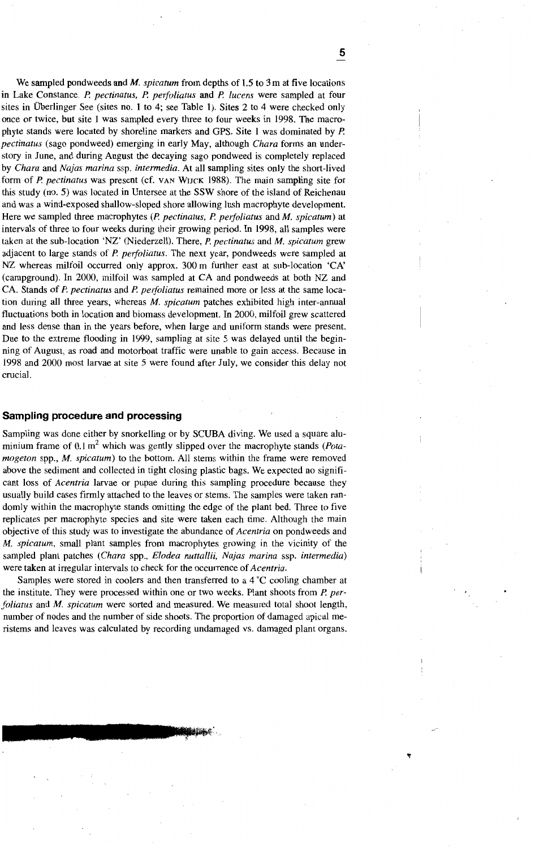We sampled pondweeds and *M. spicatum* from depths of 1.5 to 3 m at five locations in Lake Constance. P. *pectinatus,* P. *perfoliatus* and P. *lucens* were sampled at four sites in Überlinger See (sites no. 1 to 4; see Table 1). Sites 2 to 4 were checked only once or twice, but site 1 was sampled every three to four weeks in 1998. The macrophyte stands were located by shoreline markers and GPS. Site 1 was dominated by P. *pectinatus* (sago pondweed) emerging in early May, although *Chara* forms an understory in June, and during August the decaying sago pondweed is completely replaced by *Chara* and *Najas marina* ssp. *intermedia.* At a11 sampling sites only the short-lived form of P. *pectinatus* was present (cf. VAN WUCK 1988). The main sampling site for this study (no. 5) was located in Untersee at the SSW shore of the island of Reichenau and was a wind-exposed shallow-sloped shore a110wing lush macrophyte development. Here we sampled three macrophytes (P. *pectinatus,* P. *perfoliatus* and *M. spicatum)* at intervals of three to four weeks during their growing period. In 1998, all samples were taken at the sub-location 'NZ' (Niederzell). There, P. *pectinatus* and *M. spicatum* grew adjacent to large stands of P. *perfoliatus.* The next year, pondweeds were sampled at NZ whereas milfoil occurred only approx. 300 m further east at sub-location 'CA' (campground). In 2000, milfoil was sampled at CA and pondweeds at both NZ and CA. Stands of P. *pectinatus* and P. *perfoliatus* remained more or less at the same location during a11 three years, whereas *M. spicatum* patches exhibited high inter-annual fluctuations both in location and biomass development. In 2000, milfoil grew scattered and less dense than in the years before, when large and uniform stands were present. Due to the extreme flooding in 1999, sampling at site 5 was delayed until the beginning of August, as road and motorboat traffic were unable to gain access. Because in 1998 and 2000 most larvae at site 5 were found after July, we consider this delay not crucial.

### **Sampling procedure and processing**

Sampling was done either by snorkelling or by SCUBA diving. We used a square aluminium frame of 0.1 m<sup>2</sup> which was gently slipped over the macrophyte stands *(Potamogeton* spp., *M. spicatum)* to the bottom. All sterns within the frame were removed above the sediment and collected in tight closing plastic bags. We expected no significant loss of *Acentria* larvae or pupae during this sampling procedure because they usually build cases firmly attached to the leaves or stems. The samples were taken randomly within the macrophyte stands omitting the edge of the plant bed. Three to five replicates per macrophyte species and site were taken each time. Although the main objective of this study was to investigate the abundance of *Acentria* on pondweeds and *M. spicatum,* sma11 plant sampIes from macrophytes growing in the vicinity of the sampled plant patches *(Chara* spp., *Elodea nuttallii, Najas marina* ssp. *intermedia)* were taken at irregular intervals to check for the occurrence of *Acentria.*

Samples were stored in coolers and then transferred to a 4 °C cooling chamber at the institute. They were processed within one or two weeks. Plant shoots from P. *perfoliatus* and *M. spicatum* were sorted and measured. We measured total shoot length, number of nodes and the number of side shoots. The proportion of damaged apical meristems and leaves was calculated by recording undamaged vs. damaged plant organs.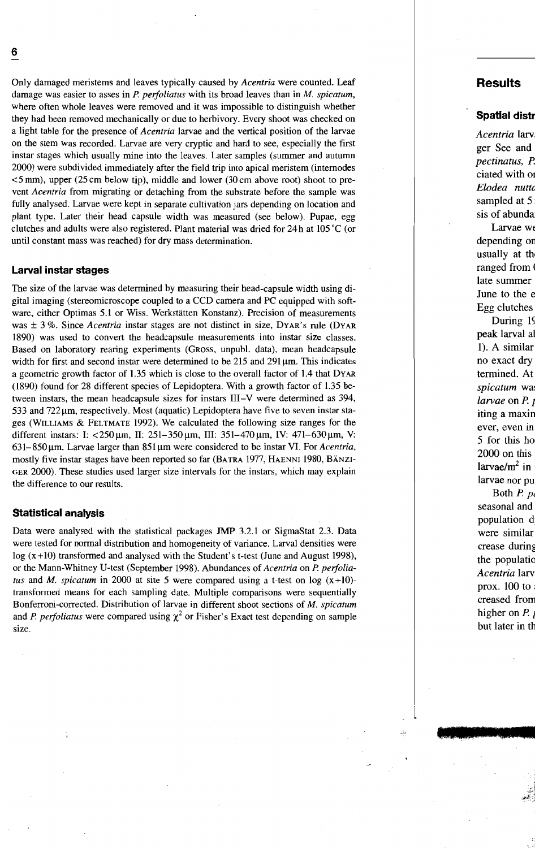Only damaged meristems and leaves typically caused by *Acentria* were counted. Leaf damage was easier to asses in *P. perfoliatus* with its broad leaves than in M. *spicatum,* where often whole leaves were removed and it was impossible to distinguish whether they had been removed mechanically or due to herbivory. Every shoot was checked on a light table for the presence of *Acentria* larvae and the vertical position of the larvae on the stern was recorded. Larvae are very cryptic and hard to see, especially the first instar stages which usually mine into the leaves. Later sampies (summer and autumn 2000) were subdivided immediately after the field trip into apical meristem (intemodes  $\leq$  5 mm), upper (25 cm below tip), middle and lower (30 cm above root) shoot to prevent *Acentria* from migrating or detaching from the substrate before the sampie was fully analysed. Larvae were kept in separate cultivation jars depending on location and plant type. Later their head capsule width was measured (see below). Pupae, egg clutches and adults were also registered. Plant material was dried for  $24h$  at  $105^{\circ}$ C (or until constant mass was reached) for dry mass determination.

### **Larval instar stages**

The size of the larvae was determined by measuring their head-capsule width using digital imaging (stereomicroscope coupled to a CCD camera and PC equipped with software, either Optimas 5.1 or Wiss. Werkstätten Konstanz). Precision of measurements was ± 3 %. Since *Acentria* instar stages are not distinct in size, DYAR'S rule (DYAR 1890) was used to convert the headcapsule measurements into instar size classes. Based on laboratory rearing experiments (GRoss, unpub!. data), mean headcapsule width for first and second instar were determined to be  $215$  and  $291 \mu m$ . This indicates a geometric growth factor of 1.35 which is close to the overall factor of 1.4 that DYAR (1890) found for 28 different species of Lepidoptera. With a growth factor of 1.35 between instars, the mean headcapsule sizes for instars III-V were determined as 394,  $533$  and  $722 \mu m$ , respectively. Most (aquatic) Lepidoptera have five to seven instar stages (W1LLIAMS & FELTMATE 1992). We calculated the following size ranges for the different instars: I: <250 µm, II: 251-350 µm, III: 351-470 µm, IV: 471-630 µm, V: 631-850 μm. Larvae larger than 851 μm were considered to be instar VI. For *Acentria*, mostly five instar stages have been reported so far (BATRA 1977, HAENN1 1980, BÄNZ1- GER 2000). These studies used larger size intervals for the instars, which may explain the difference to our results.

#### **Statistical analysis**

Data were analysed with the statistical packages JMP 3.2.1 or SigmaStat 2.3. Data were tested for normal distribution and homogeneity of variance. Larval densities were  $log(x+10)$  transformed and analysed with the Student's t-test (June and August 1998), or the Mann-Whitney V-test (September 1998). Abundances of *Acentria* on *P. perfoliatus* and *M. spicatum* in 2000 at site 5 were compared using a t-test on log  $(x+10)$ transformed means for each sampling date. Multiple comparisons were sequentially Bonferroni-corrected. Distribution of larvae in different shoot sections of *M. spicatum* and *P. perfoliatus* were compared using  $\chi^2$  or Fisher's Exact test depending on sample size.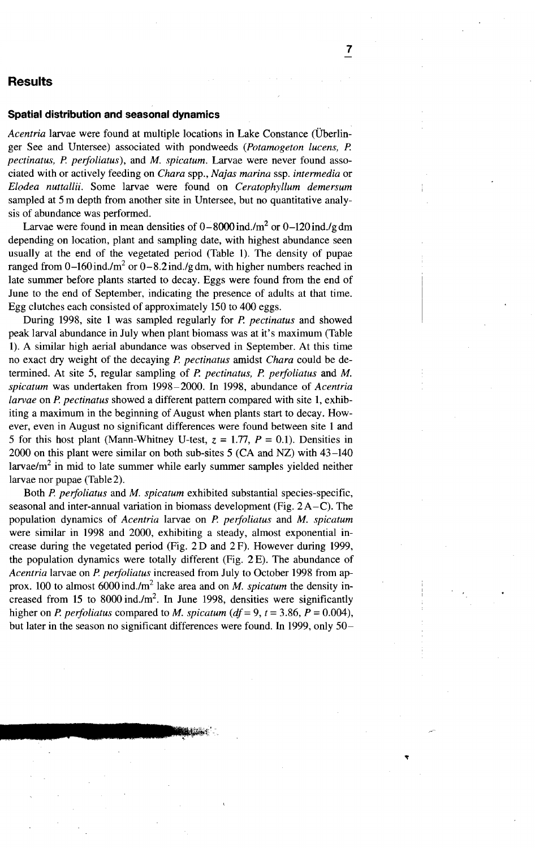# **Results**

## **Spatial distribution and seasonal dynamics**

*Acentria* larvae were found at multiple locations in Lake Constance (Überlinger See and Untersee) associated with pondweeds *(Potamogeton lucens,* P. *pectinatus,* P. *perfoliatus),* and *M. spicatum.* Larvae were never found associated with or actively feeding on *Chara* spp., *Najas marina* ssp. *intermedia* or *Elodea nuttallii.* Some larvae were found on *Ceratophyllum demersum* sampled at 5 m depth from another site in Untersee, but no quantitative analysis of abundance was performed.

Larvae were found in mean densities of  $0-8000$  ind./m<sup>2</sup> or  $0-120$  ind./g dm depending on location, plant and sampling date, with highest abundance seen usually at the end of the vegetated period (Table 1). The density of pupae ranged from  $0-160$  ind./m<sup>2</sup> or  $0-8.2$  ind./gdm, with higher numbers reached in late summer before plants started to decay. Eggs were found from the end of June to the end of September, indicating the presence of adults at that time. Egg clutches each consisted of approximately 150 to 400 eggs.

During 1998, site 1 was sampled regularly for P. *pectinatus* and showed peak larval abundance in July when plant biomass was at it's maximum (Table 1). A similar high aerial abundance was observed in September. At this time no exact dry weight of the decaying P. *pectinatus* amidst *Chara* could be determined. At site 5, regular sampling of *P. pectinatus, P. perfoliatus* and M. *spicatum* was undertaken from 1998-2000. In 1998, abundance of *Acentria larvae* on P. *pectinatus* showed a different pattern compared with site 1, exhibiting a maximum in the beginning of August when plants start to decay. However, even in August no significant differences were found between site 1 and 5 for this host plant (Mann-Whitney U-test,  $z = 1.77$ ,  $P = 0.1$ ). Densities in 2000 on this plant were similar on both sub-sites 5 (CA and NZ) with 43-140 larvae/ $m<sup>2</sup>$  in mid to late summer while early summer samples yielded neither larvae nor pupae (Table2).

Both *P. perfoliatus* and M. *spicatum* exhibited substantial species-specific, seasonal and inter-annual variation in biomass development (Fig.  $2A-C$ ). The population dynamics of *Acentria* larvae on P. *perfoliatus* and *M. spicatum* were similar in 1998 and 2000, exhibiting a steady, almost exponential increase during the vegetated period (Fig. 2 D and 2 F). However during 1999, the population dynamies were totally different (Fig. 2 E). The abundance of *Acentria* larvae on *P. perfoliatus* increased from July to October 1998 from approx. 100 to almost  $6000$  ind./m<sup>2</sup> lake area and on *M. spicatum* the density increased from 15 to 8000 ind. $\ell$ m<sup>2</sup>. In June 1998, densities were significantly higher on *P. perfoliatus* compared to *M. spicatum* ( $df = 9$ ,  $t = 3.86$ ,  $P = 0.004$ ), but later in the season no significant differences were found. In 1999, only 50-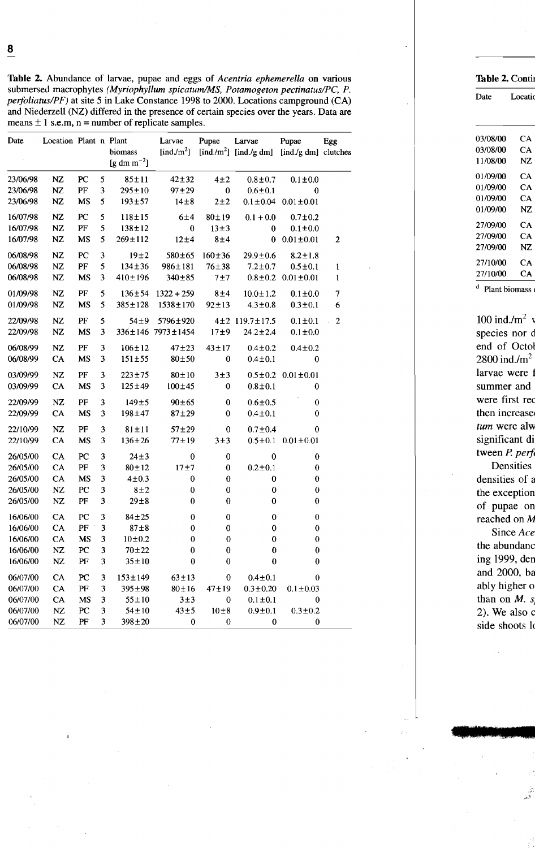**Table 2.** Abundance of larvae, pupae and eggs of *Acentria ephemerella* on various submersed macrophytes *(Myriophyllum spicatumJMS, Potamogeton pectinatus/PC, P.* Date Locatic *perfoliatus/PF)* at site 5 in Lake Constance 1998 to 2000. Locations campground (CA) and Niederzell (NZ) differed in the presence of certain species over the years. Data are means  $\pm$  1 s.e.m, n = number of replicate samples.

| Date     | Location Plant n Plant |           |                         | biomass<br>[g dm m <sup>-2</sup> ] | Larvae<br>[ind./m <sup>2</sup> ] | Pupae        | Larvae<br>[ind./m <sup>2</sup> ] [ind./g dm] | Pupae<br>[ind./g dm] clutches  | Egg            |
|----------|------------------------|-----------|-------------------------|------------------------------------|----------------------------------|--------------|----------------------------------------------|--------------------------------|----------------|
| 23/06/98 | NZ                     | PC        | 5                       | $85 + 11$                          | $42 + 32$                        | $4\pm2$      | $0.8 + 0.7$                                  | $0.1 \pm 0.0$                  |                |
| 23/06/98 | <b>NZ</b>              | PF        | 3                       | $295 \pm 10$                       | $97 + 29$                        | $\bf{0}$     | $0.6 \pm 0.1$                                | $\bf{0}$                       |                |
| 23/06/98 | NZ                     | MS        | 5                       | $193 + 57$                         | $14\pm8$                         | $2+2$        |                                              | $0.1 \pm 0.04$ $0.01 \pm 0.01$ |                |
| 16/07/98 | NZ                     | PC        | 5                       | $118 + 15$                         | 6±4                              | $80 + 19$    | $0.1 + 0.0$                                  | $0.7 + 0.2$                    |                |
| 16/07/98 | NZ                     | PF        | 5                       | $138 \pm 12$                       | $\bf{0}$                         | $13\pm3$     | $\bf{0}$                                     | $0.1 \pm 0.0$                  |                |
| 16/07/98 | NZ                     | MS        | 5                       | $269 \pm 112$                      | 12±4                             | 8±4          | $\bf{0}$                                     | $0.01 \pm 0.01$                | 2              |
| 06/08/98 | NZ                     | PC        | 3                       | 19±2                               | 580±65                           | $160 + 36$   | $29.9 \pm 0.6$                               | $8.2 \pm 1.8$                  |                |
| 06/08/98 | <b>NZ</b>              | PF        | 5                       | $134 \pm 36$                       | $986 \pm 181$                    | $76 + 38$    | $7.2 \pm 0.7$                                | $0.5 + 0.1$                    | 1              |
| 06/08/98 | NZ                     | MS        | 3                       | $410 \pm 196$                      | 340±85                           | 7±7          |                                              | $0.8 \pm 0.2$ $0.01 \pm 0.01$  | $\mathbf{1}$   |
| 01/09/98 | NZ                     | PF        | 5                       | $136 \pm 54$                       | $1322 + 259$                     | 8±4          | $10.0 \pm 1.2$                               | $0.1 \pm 0.0$                  | $\overline{7}$ |
| 01/09/98 | NZ                     | MS        | 5                       | $385 \pm 128$                      | $1538 \pm 170$                   | $92 \pm 13$  | $4.3 \pm 0.8$                                | $0.3 \pm 0.1$                  | 6              |
| 22/09/98 | NZ                     | $\rm PF$  | 5                       | 54±9                               | 5796±920                         |              | 4±2 119.7±17.5                               | $0.1 \pm 0.1$                  | $\mathbf{2}$   |
| 22/09/98 | NZ                     | <b>MS</b> | $\overline{\mathbf{3}}$ |                                    | 336±146 7973±1454                | 17±9         | $24.2 \pm 2.4$                               | $0.1 \pm 0.0$                  |                |
| 06/08/99 | NZ                     | PF        | 3                       | $106 \pm 12$                       | $47 + 23$                        | $43 \pm 17$  | $0.4 + 0.2$                                  | $0.4 \pm 0.2$                  |                |
| 06/08/99 | CA                     | MS        | 3                       | $151 + 55$                         | $80 \pm 50$                      | $\bf{0}$     | $0.4 \pm 0.1$                                | $\bf{0}$                       |                |
| 03/09/99 | NZ                     | PF        | 3                       | $223 + 75$                         | $80 \pm 10$                      | 3±3          |                                              | $0.5 \pm 0.2$ $0.01 \pm 0.01$  |                |
| 03/09/99 | <b>CA</b>              | MS        | 3                       | $125 \pm 49$                       | $100 + 45$                       | 0            | $0.8 \pm 0.1$                                | 0                              |                |
| 22/09/99 | NZ                     | PF        | 3                       | $149 + 5$                          | $90 + 65$                        | $\bf{0}$     | $0.6 \pm 0.5$                                | 0                              |                |
| 22/09/99 | CA                     | MS        | 3                       | 198±47                             | $87 + 29$                        | 0            | $0.4 + 0.1$                                  | 0                              |                |
| 22/10/99 | NZ                     | PF        | 3                       | $81 + 11$                          | $57 + 29$                        | $\pmb{0}$    | $0.7 + 0.4$                                  | 0                              |                |
| 22/10/99 | CA                     | MS        | 3                       | $136 \pm 26$                       | $77 + 19$                        | 3±3          |                                              | $0.5 \pm 0.1$ $0.01 \pm 0.01$  |                |
| 26/05/00 | CA                     | PC        | 3                       | $24 \pm 3$                         | $\bf{0}$                         | $\bf{0}$     | $\bf{0}$                                     | $\bf{0}$                       |                |
| 26/05/00 | <b>CA</b>              | PF        | 3                       | $80 + 12$                          | 17±7                             | $\bf{0}$     | $0.2 + 0.1$                                  | $\boldsymbol{0}$               |                |
| 26/05/00 | CA                     | MS        | 3                       | $4\pm0.3$                          | 0                                | $\bf{0}$     | $\boldsymbol{0}$                             | $\bf{0}$                       |                |
| 26/05/00 | NZ                     | PC        | 3                       | $8 \pm 2$                          | 0                                | $\pmb{0}$    | $\bf{0}$                                     | 0                              |                |
| 26/05/00 | NZ                     | PF        | 3                       | $29 + 8$                           | $\bf{0}$                         | $\bf{0}$     | $\bf{0}$                                     | $\bf{0}$                       |                |
| 16/06/00 | CA                     | PC        | 3                       | $84 + 25$                          | $\bf{0}$                         | $\mathbf{0}$ | $\bf{0}$                                     | $\boldsymbol{0}$               |                |
| 16/06/00 | CA                     | PF        | 3                       | $87 + 8$                           | $\bf{0}$                         | $\mathbf{0}$ | $\bf{0}$                                     | $\bf{0}$                       |                |
| 16/06/00 | <b>CA</b>              | MS        | 3                       | $10 + 0.2$                         | $\bf{0}$                         | $\bf{0}$     | $\bf{0}$                                     | $\bf{0}$                       |                |
| 16/06/00 | NZ                     | PC        | 3                       | $70 + 22$                          | $\bf{0}$                         | $\bf{0}$     | $\bf{0}$                                     | $\bf{0}$                       |                |
| 16/06/00 | <b>NZ</b>              | PF        | 3                       | $35 + 10$                          | $\bf{0}$                         | $\bf{0}$     | $\bf{0}$                                     | $\bf{0}$                       |                |
| 06/07/00 | <b>CA</b>              | PC        | 3                       | $153 \pm 149$                      | $63 \pm 13$                      | $\bf{0}$     | $0.4 \pm 0.1$                                | $\bf{0}$                       |                |
| 06/07/00 | <b>CA</b>              | PF        | 3                       | $395 \pm 98$                       | $80 \pm 16$                      | $47 + 19$    | $0.3 \pm 0.20$                               | $0.1 \pm 0.03$                 |                |
| 06/07/00 | <b>CA</b>              | <b>MS</b> | 3                       | $55 \pm 10$                        | 3±3                              | $\bf{0}$     | $0.1 \pm 0.1$                                | $\bf{0}$                       |                |
| 06/07/00 | NZ                     | PC        | 3                       | $54 \pm 10$                        | $43\pm5$                         | 10±8         | $0.9 + 0.1$                                  | $0.3 + 0.2$                    |                |
| 06/07/00 | NZ                     | PF        | 3                       | $398 + 20$                         | $\bf{0}$                         | $\bf{0}$     | $\bf{0}$                                     | $\mathbf 0$                    |                |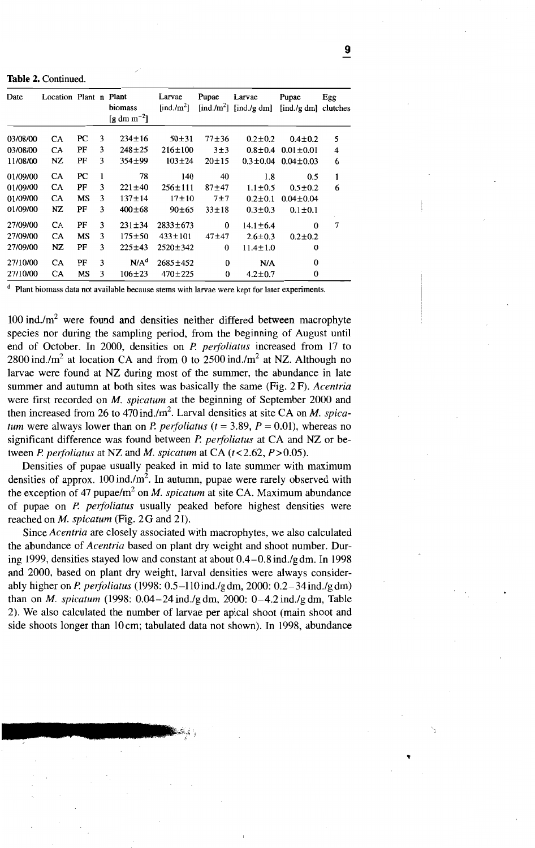Table 2. Continued.

| Date     | Location Plant n Plant |    |   | biomass<br>[g dm m <sup>-2</sup> ] | Larvae<br>$\left[\text{ind./m}^2\right]$ | Pupae     | Larvae<br>[ind./m <sup>2</sup> ] [ind./g dm] | Pupae<br>[ind./g dm] clutches | Egg |
|----------|------------------------|----|---|------------------------------------|------------------------------------------|-----------|----------------------------------------------|-------------------------------|-----|
| 03/08/00 | CA                     | PC | 3 | $234 \pm 16$                       | $50 + 31$                                | $77 + 36$ | $0.2 \pm 0.2$                                | $0.4 \pm 0.2$                 | 5   |
| 03/08/00 | CA                     | PF | 3 | $248 + 25$                         | $216 \pm 100$                            | 3±3       | $0.8 \pm 0.4$                                | $0.01 + 0.01$                 | 4   |
| 11/08/00 | NZ                     | PF | 3 | $354 \pm 99$                       | $103 \pm 24$                             | $20 + 15$ | $0.3 \pm 0.04$                               | $0.04 \pm 0.03$               | 6   |
| 01/09/00 | CA                     | PC | 1 | 78                                 | 140                                      | 40        | 1.8                                          | 0.5                           | 1   |
| 01/09/00 | CA                     | PF | 3 | $221 \pm 40$                       | $256 \pm 111$                            | $87 + 47$ | $1.1 \pm 0.5$                                | $0.5 \pm 0.2$                 | 6   |
| 01/09/00 | CA                     | MS | 3 | $137 \pm 14$                       | $17 + 10$                                | 7±7       | $0.2 \pm 0.1$                                | $0.04 \pm 0.04$               |     |
| 01/09/00 | NZ                     | PF | 3 | $400 \pm 68$                       | 90±65                                    | $33 + 18$ | $0.3 \pm 0.3$                                | $0.1 \pm 0.1$                 |     |
| 27/09/00 | CA                     | PF | 3 | $231 \pm 34$                       | $2833 + 673$                             | $\bf{0}$  | $14.1 \pm 6.4$                               | 0                             | 7   |
| 27/09/00 | <b>CA</b>              | МS | 3 | $175 + 50$                         | $433 \pm 101$                            | $47 + 47$ | $2.6 \pm 0.3$                                | $0.2 \pm 0.2$                 |     |
| 27/09/00 | NZ                     | PF | 3 | $225 \pm 43$                       | 2520±342                                 | 0         | $11.4 \pm 1.0$                               | 0                             |     |
| 27/10/00 | <b>CA</b>              | PF | 3 | N/A <sup>d</sup>                   | $2685 \pm 452$                           | $\bf{0}$  | N/A                                          | $\bf{0}$                      |     |
| 27/10/00 | <b>CA</b>              | MS | 3 | $106 \pm 23$                       | $470 \pm 225$                            | $\bf{0}$  | $4.2 \pm 0.7$                                | 0                             |     |

<sup>d</sup> Plant biomass data not available because stems with larvae were kept for later experiments.

 $100$  ind./m<sup>2</sup> were found and densities neither differed between macrophyte species nor during the sampling period, from the beginning of August until end of October. In 2000, densities on P. *perfoliatus* increased from 17 to 2800 ind./m<sup>2</sup> at location CA and from 0 to 2500 ind./m<sup>2</sup> at NZ. Although no larvae were found at NZ during most of the summer, the abundanee in late summer and autumn at both sites was basieally the same (Fig. 2 F). *Acentria* were first reeorded on *M. spicatum* at the beginning of September 2000 and then increased from 26 to 470 ind. $/m<sup>2</sup>$ . Larval densities at site CA on *M. spicatum* were always lower than on *P. perfoliatus*  $(t = 3.89, P = 0.01)$ , whereas no significant difference was found between *P. perfoliatus* at CA and NZ or between P. *perfoliatus* at NZ and M. *spicatum* at CA  $(t<2.62, P>0.05)$ .

Densities of pupae usually peaked in mid to late summer with maximum densities of approx.  $100 \text{ ind.}/\text{m}^2$ . In autumn, pupae were rarely observed with the exception of 47 pupae/ $m^2$  on *M. spicatum* at site CA. Maximum abundance of pupae on P. *peifoliatus* usually peaked before highest densities were reached on M. *spicatum* (Fig. 2 G and 2 I).

Sinee *Acentria* are closely assoeiated with macrophytes, we also ealculated the abundanee of *Acentria* based on plant dry weight and shoot number. During 1999, densities stayed low and constant at about  $0.4-0.8$  ind./gdm. In 1998 and 2000, based on plant dry weight, larval densities were always eonsiderably higher on P. *peifoliatus* (1998: 0.5-11Oind.lgdm, 2000: 0.2-34ind.lgdm) than on M. *spicatum* (1998: 0.04-24ind.lgdm, 2000: 0-4.2 ind.lg dm, Table 2). We also calculated the number of larvae per apieal shoot (main shoot and side shoots longer than 10 cm; tabulated data not shown). In 1998, abundance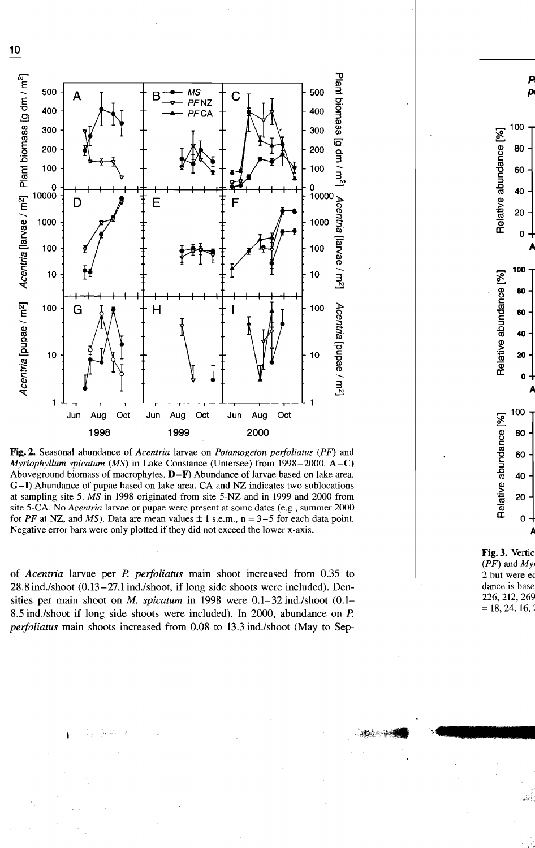

Fig.2. Seasona1 abundance of *Acentria* 1arvae on *Potamogeton perfoliatus (PF)* and *Myriophyllum spicatum (MS)* in Lake Constance (Untersee) from 1998-2000. A-C) Aboveground biomass of macrophytes. D-F) Abundance of larvae based on lake area. G-I) Abundance of pupae based on lake area. CA and NZ indicates two sublocations at sampling site 5. *MS* in 1998 originated from site 5-NZ and in 1999 and 2000 from site 5-CA. No *Acentria* larvae or pupae were present at some dates (e.g., summer 2000 for *PF* at NZ, and *MS*). Data are mean values  $\pm 1$  s.e.m.,  $n = 3-5$  for each data point. Negative error bars were only plotted if they did not exceed the lower x-axis.

of *Acentria* larvae per P. *perfoliatus* main shoot increased from 0.35 to 28.8 ind./shoot (0.13-27.1 ind./shoot, if long side shoots were included). Densities per main shoot on *M. spicatum* in 1998 were 0.1-32 ind./shoot (0.1-8.5 ind./shoot if long side shoots were included). In 2000, abundance on P. *perfoliatus* main shoots increased from 0.08 to 13.3 ind./shoot (May to Sep-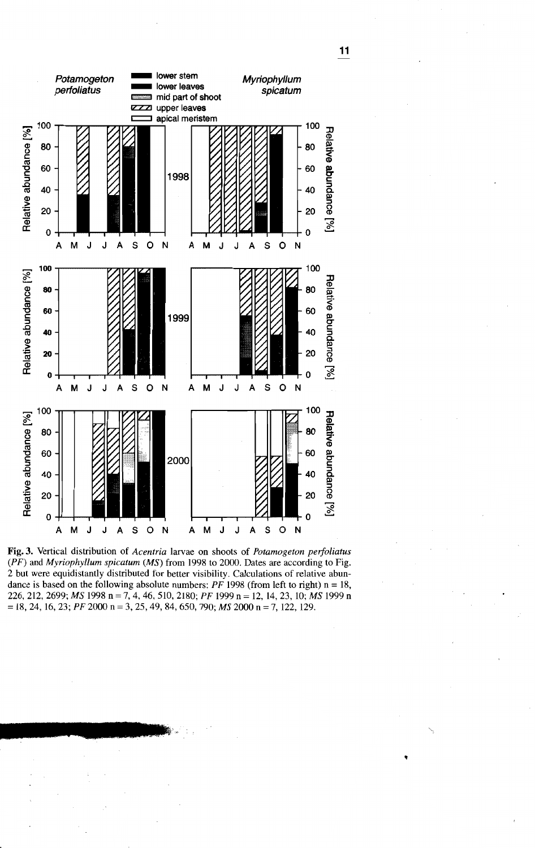

Fig.3. Vertical distribution of *Acentria* larvae on shoots of *Potamogeton perfoliatus (PF)* and *Myriophyllum spicatum (MS)* from 1998 to 2000. Dates are according to Fig, 2 but were equidistantly distributed for better visibility. Calculations of relative abundance is based on the following absolute numbers:  $PF$  1998 (from left to right)  $n = 18$ , *226,212,2699; MS* 1998 n = 7,4,46,510,2180; *PF* 1999 n = 12, 14,23, 10; *MS* 1999 n =18, 24, 16,23; *PF* 2000 <sup>n</sup> =3, 25, 49, 84, 650, 790; *MS* 2000 <sup>n</sup> =7, 122, 129.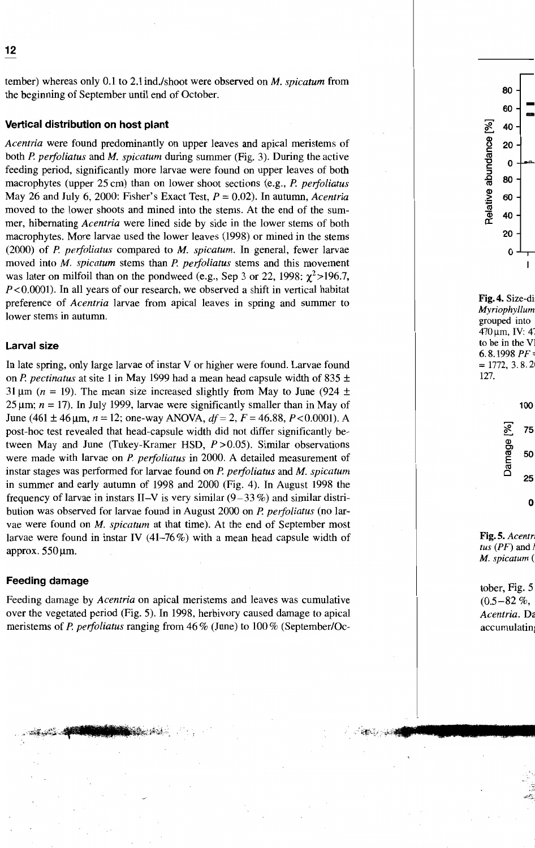**12** Elisabeth M. Grass, Claudia Feldbaum and Claudia Choi

tember) whereas on1y 0.1 to 2.1 ind.lshoot were observed on *M. spicatum* from the beginning of September until end of October.

## **Vertical distribution on host plant**

*Acentria* were found predominantly on upper leaves and apical meristems of both P. *perfoliatus* and M. *spicatum* during summer (Fig. 3). Ouring the active feeding period, significantly more 1arvae were found on upper 1eaves of both macrophytes (upper 25 cm) than on 10wer shoot seetions (e.g., P. *perfoliatus* May 26 and July 6, 2000: Fisher's Exact Test,  $P = 0.02$ ). In autumn, *Acentria* moved to the lower shoots and mined into the sterns. At the end of the summer, hibernating *Acentria* were lined side by side in the lower stems of both macrophytes. More larvae used the lower leaves (1998) or mined in the stems (2000) of P. *perfoliatus* compared to *M. spicatum.* In general, fewer 1arvae moved into *M. spicatum* stems than *P. perfoliatus* stems and this movement was later on milfoil than on the pondweed (e.g., Sep 3 or 22, 1998:  $\chi^2$ >196.7,  $P < 0.0001$ ). In all years of our research, we observed a shift in vertical habitat preference of *Acentria* larvae from apical leaves in spring and summer to lower stems in autumn.

## **Larval size**

In 1ate spring, on1y 1arge 1arvae of instar V or higher were found. Larvae found on P. *pectinatus* at site 1 in May 1999 had a mean head capsule width of 835 ± 31  $\mu$ m (n = 19). The mean size increased slightly from May to June (924 ± 25 um;  $n = 17$ ). In July 1999, larvae were significantly smaller than in May of June (461  $\pm$  46  $\mu$ m, *n* = 12; one-way ANOVA, *df* = 2, *F* = 46.88, *P* < 0.0001). A post-hoc test revealed that head-capsule width did not differ significantly between May and June (Tukey-Kramer HSD,  $P > 0.05$ ). Similar observations were made with larvae on *P. perfoliatus* in 2000. A detailed measurement of instar stages was performed for 1arvae found on P. *perfoliatus* and *M. spicatum* in summer and ear1y autumn of 1998 and 2000 (Fig. 4). In August 1998 the frequency of larvae in instars II–V is very similar  $(9-33\%)$  and similar distribution was observed for 1arvae found in August 2000 on P. *perfoliatus* (no 1arvae were found on *M. spicatum* at that time). At the end of September most larvae were found in instar IV (41–76%) with a mean head capsule width of approx.  $550 \,\mu m$ .

## **Feeding damage**

Feeding damage by *Acentria* on apical meristems and leaves was cumulative over the vegetated period (Fig. 5). In 1998, herbivory caused damage to apical meristems of P. *perfoliatus* ranging from 46 % (June) to 100 % (September/Oc-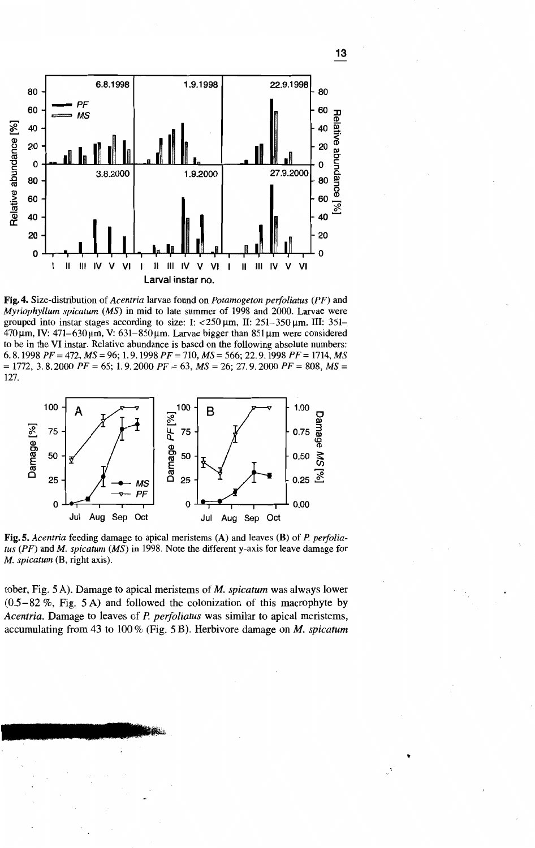

Fig.4. Size-distribution of *Acentria* larvae found on *Potamogeton perfoliatus (PP)* and *Myriophyllum spicatum (MS)* in mid to late summer of 1998 and 2000. Larvae were grouped into instar stages according to size: I:  $< 250 \text{ µm}$ , II:  $251 - 350 \text{ µm}$ , III:  $351 470 \,\mu m$ , IV:  $471-630 \,\mu m$ , V:  $631-850 \,\mu m$ . Larvae bigger than  $851 \,\mu m$  were considered to be in the VI instar. Relative abundance is based on the following absolute numbers: *6.8.1998 PP* = 472, *MS* = 96; 1. 9.1998 *PP* = 710, *MS* = 566; 22.9.1998 *PP* = 1714, *MS*  $= 1772, 3.8.2000$  *PF* = 65; 1.9.2000 *PF* = 63, *MS* = 26; 27.9.2000 *PF* = 808, *MS* = 127.



Fig. 5. *Acentria* feeding damage to apical meristems (A) and leaves (B) of P. *perfoliatus (PP)* and *M. spicatum (MS)* in 1998. Note the different y-axis for leave damage for *M. spicatum* (H, right axis).

tober, Fig. 5A). Damage to apical meristems of *M. spicatum* was always lower  $(0.5-82\%$ , Fig. 5 A) and followed the colonization of this macrophyte by *Acentria.* Damage to leaves of *P. perfoliatus* was similar to apical meristems, accumulating from 43 to 100 % (Fig. 5 B). Herbivore damage on *M. spicatum*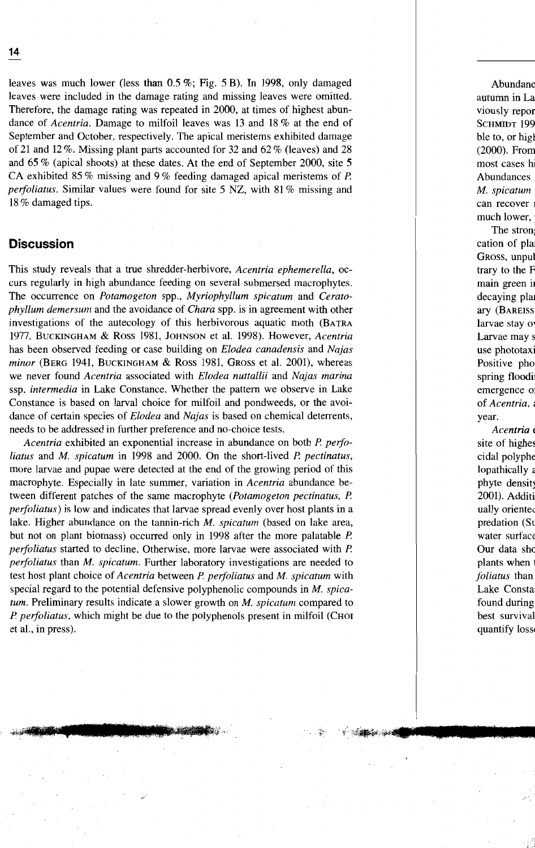leaves was much lower (less than 0.5 %; Fig. 5 B). In 1998, only damaged leaves were included in the damage rating and missing leaves were omitted. Therefore, the damage rating was repeated in 2000, at times of highest abundance of *Acentria.* Damage to milfoil leaves was 13 and 18 % at the end of September and October, respectively. The apical meristems exhibited damage of 21 and 12 %. Missing plant parts accounted for 32 and 62 % (leaves) and 28 and 65 % (apical shoots) at these dates. At the end of September 2000, site 5 CA exhibited 85 % missing and 9 % feeding damaged apical meristems of P. *perfoliatus.* Similar values were found for site 5 NZ, with 81% missing and 18 % damaged tips.

# **Discussion**

This study reveals that a true shredder-herbivore, *Acentria ephemerella,* occurs regularly in high abundance feeding on several submersed macrophytes. The occurrence on *Potamogeton* spp., *Myriophyllum spicatum* and *Ceratophyllum demersum* and the avoidance of *Chara* spp. is in agreement with other investigations of the autecology of this herbivorous aquatic moth (BATRA 1977, BUCKINGHAM & Ross 1981, JOHNSON et al. 1998). However, *Acentria* has been observed feeding or case building on *Elodea canadensis* and *Najas minor* (BERG 1941, BUCKINGHAM & Ross 1981, GROSS et al. 2001), whereas we never found *Acentria* associated with *Elodea nuttallii* and *Najas marina* ssp. *intermedia* in Lake Constance. Whether the pattern we observe in Lake Constance is based on larval choice for milfoil and pondweeds, or the avoidance of certain species of *Elodea* and *Najas* is based on chernical deterrents, needs to be addressed in further preference and no-choice tests.

*Acentria* exhibited an exponential increase in abundance on both P. *perfoliatus* and *M. spicatum* in 1998 and 2000. On the short-lived P. *pectinatus,* more larvae and pupae were detected at the end of the growing period of this macrophyte. Especially in late summer, variation in *Acentria* abundance between different patches of the same macrophyte *(Potamogeton pectinatus,* P. *perfoliatus)* is low and indicates that larvae spread evenly over host plants in a lake. Higher abundance on the tannin-rich *M. spicatum* (based on lake area, but not on plant biomass) occurred only in 1998 after the more palatable P. *perfoliatus* started to decline. Otherwise, more larvae were associated with P. *perfoliatus* than *M. spicatum.* Further laboratory investigations are needed to test host plant choice of *Acentria* between P. *perfoliatus* and *M. spicatum* with special regard to the potential defensive polyphenolic compounds in *M. spicatum.* Preliminary results indicate a slower growth on *M. spicatum* compared to P. *perfoliatus,* which might be due to the polyphenols present in milfoil (CHOI et al., in press).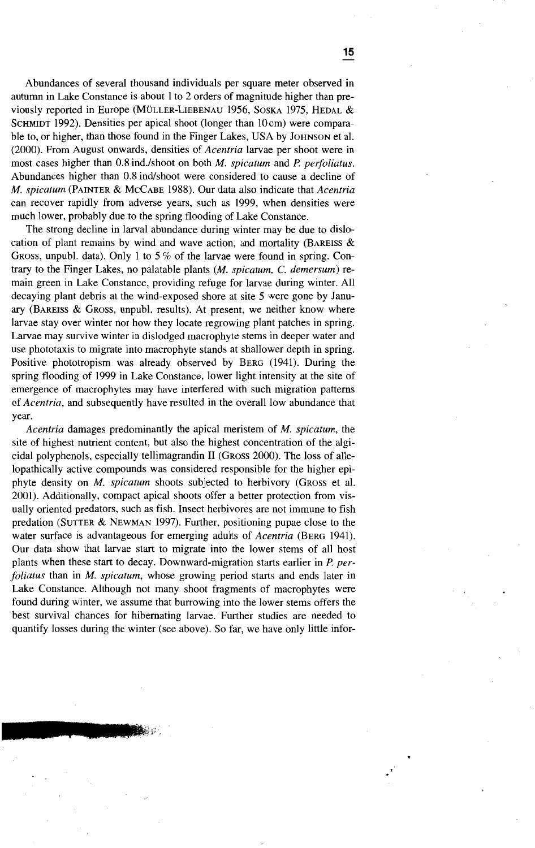Abundances of several thousand individuals per square meter observed in autumn in Lake Constance is about 1 to 2 orders of magnitude higher than previously reported in Europe (MüLLER-LIEBENAU 1956, SOSKA 1975, HEDAL & SCHMIDT 1992). Densities per apical shoot (longer than  $10 \text{ cm}$ ) were comparable to, or higher, than those found in the Finger Lakes, USA by JOHNSON et al. (2000). From August onwards, densities of *Acentria* larvae per shoot were in most cases higher than 0.8 ind./shoot on both *M. spicatum* and *P. perfoliatus.* Abundances higher than 0.8 ind/shoot were considered to cause a decline of *M. spicatum* (PAINTER & MCCABE 1988). Our data also indicate that *Acentria* can recover rapidly from adverse years, such as 1999, when densities were much lower, probably due to the spring flooding of Lake Constance.

The strong decline in larval abundance during winter may be due to dislocation of plant remains by wind and wave action, and mortality (BAREISS  $\&$ GROSS, unpubl. data). Only 1 to 5% of the larvae were found in spring. Contrary to the Finger Lakes, no palatable plants *(M. spicatum,* C. *demersum)* remain green in Lake Constance, providing refuge for larvae during winter. All decaying plant debris at the wind-exposed shore at site 5 were gone by January (BAREISS & GROSS, unpub!. results). At present, we neither know where larvae stay over winter nor how they locate regrowing plant patches in spring. Larvae may survive winter in dislodged macrophyte stems in deeper water and use phototaxis to migrate into macrophyte stands at shallower depth in spring. Positive phototropism was already observed by BERG (1941). During the spring flooding of 1999 in Lake Constance, lower light intensity at the site of emergence of macrophytes may have interfered with such migration patterns of *Acentria,* and subsequently have resulted in the overall low abundance that year.

*Acentria* damages predominantly the apical meristem of *M. spicatum,* the site of highest nutrient content, but also the highest concentration of the algicidal polyphenols, especially tellimagrandin 11 (GROSS 2000). The loss of allelopathically active compounds was considered responsible for the higher epiphyte density on *M. spicatum* shoots subjected to herbivory (GROSS et al. 2001). Additionally, compact apical shoots offer a better proteetion from visually oriented predators, such as fish. Insect herbivores are not immune to fish predation (SUTTER & NEWMAN 1997). Further, positioning pupae close to the water surface is advantageous for emerging adults of *Acentria* (BERG 1941). Our data show that larvae start to migrate into the lower sterns of all host plants when these start to decay. Downward-migration starts earlier in P. *perfoliatus* than in M. *spicatum,* whose growing period starts and ends later in Lake Constance. Although not many shoot fragments of macrophytes were found during winter, we assurne that burrowing into the lower sterns offers the best survival chances for hibernating larvae. Further studies are needed to quantify losses during the winter (see above). So far, we have only little infor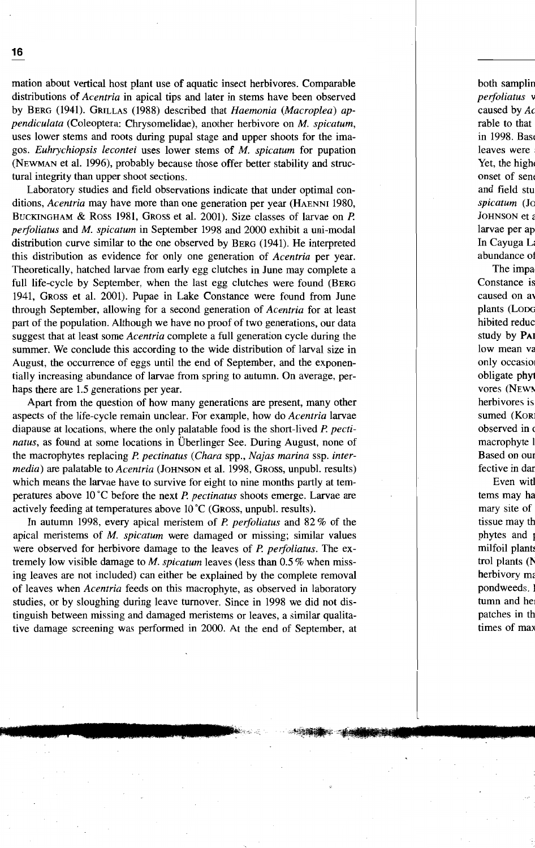mation about vertical host plant use of aquatic insect herbivores. Comparable distributions of *Acentria* in apical tips and later in sterns have been observed by BERG (1941). GRILLAS (1988) described that *Haemonia (Macroplea) appendiculata* (Coleoptera: Chrysomelidae), another herbivore on M. *spicatum,* uses lower sterns and roots during pupal stage and upper shoots for the imagos. *Euhrychiopsis lecontei* uses lower sterns of *M. spicatum* for pupation (NEWMAN et a1. 1996), probably because those offer better stability and structural integrity than upper shoot sections.

Laboratory studies and field observations indicate that under optimal conditions, *Acentria* may have more than one generation per year (HAENNI 1980, BUCKINGHAM & Ross 1981, GROSS et al. 2001). Size classes of larvae on *P. peifoliatus* and M. *spicatum* in September 1998 and 2000 exhibit a uni-modal distribution curve similar to the one observed by BERG (1941). He interpreted this distribution as evidence for only one generation of *Acentria* per year. Theoretically, hatched larvae from early egg clutches in June may complete a full life-cycle by September, when the last egg clutches were found (BERG) 1941, GROSS et a1. 2001). Pupae in Lake Constance were found from June through September, allowing for a second generation of *Acentria* for at least part of the population. Although we have no proof of two generations, our data suggest that at least some *Acentria* complete a full generation cycle during the summer. We conclude this according to the wide distribution of larval size in August, the occurrence of eggs until the end of September, and the exponentially increasing abundance of larvae from spring to autumn. On average, perhaps there are 1.5 generations per year.

Apart from the question of how many generations are present, many other aspects of the life-cycle remain unclear. For example, how do *Acentria* larvae diapause at locations, where the only palatable food is the short-lived *P. pectinatus,* as found at some locations in Überlinger See. During August, none of the macrophytes replacing *P. pectinatus (Chara* spp., *Najas marina* ssp. *intermedia*) are palatable to *Acentria* (JOHNSON et al. 1998, GROSS, unpubl. results) which means the larvae have to survive for eight to nine months partly at temperatures above 10 °C before the next *P. pectinatus* shoots emerge. Larvae are actively feeding at temperatures above 10 °C (GROSS, unpubl. results).

In autumn 1998, every apical meristem of *P. peifoliatus* and 82 % of the apical meristems of *M. spicatum* were damaged or missing; similar values were observed for herbivore damage to the leaves of *P. perfoliatus*. The extremely low visible damage to *M. spicatum* leaves (less than 0.5 % when missing leaves are not included) can either be explained by the complete removal of leaves when *Acentria* feeds on this macrophyte, as observed in laboratory studies, or by sloughing during leave tumover. Since in 1998 we did not distinguish between missing and damaged meristems or leaves, a similar qualitative damage screening was performed in 2000. At the end of September, at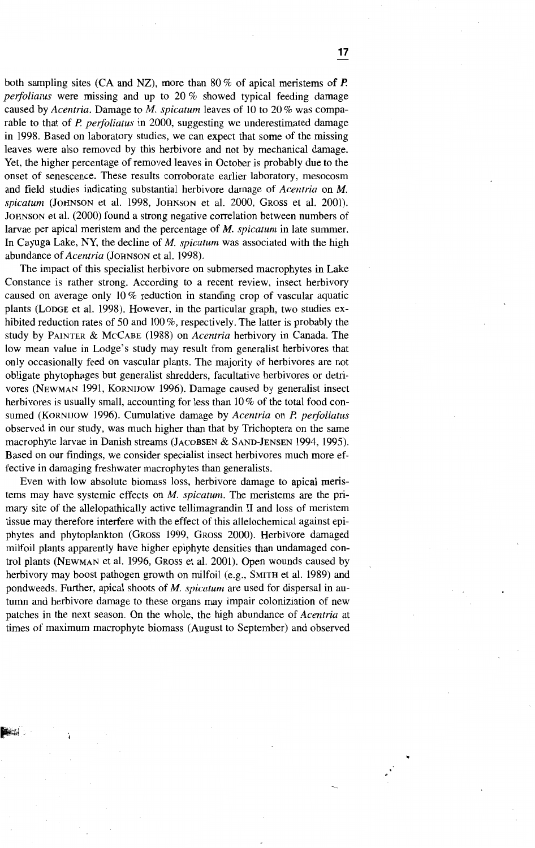both sampling sites (CA and NZ), more than 80 % of apical meristems of P. *peifoliatus* were missing and up to 20 % showed typical feeding damage caused by *Acentria.* Damage to *M. spicatum* leaves of 10 to 20 % was comparable to that of *P. perfoliatus* in 2000, suggesting we underestimated damage in 1998. Based on laboratory studies, we can expect that some of the missing leaves were also removed by this herbivore and not by mechanical damage. Yet, the higher percentage of removed leaves in October is probably due to the onset of senescence. These results corroborate earlier laboratory, mesocosm and field studies indicating substantial herbivore damage of *Acentria* on *M. spicatum* (JOHNSON et al. 1998, JOHNSON et al. 2000, GROSS et al. 2001). JOHNSON et al. (2000) found a strong negative correlation between numbers of larvae per apical meristem and the percentage of *M. spicatum* in late summer. In Cayuga Lake, NY, the decline of M. *spicatum* was associated with the high abundance of*Acentria* (JOHNSON et al. 1998).

The impact of this specialist herbivore on submersed macrophytes in Lake Constance is rather strong. According to a recent review, insect herbivory caused on average only 10 % reduction in standing crop of vascular aquatic plants (LODGE et al. 1998). However, in the particular graph, two studies exhibited reduction rates of 50 and 100%, respectively. The latter is probably the study by PAINTER & MCCABE (1988) on *Acentria* herbivory in Canada. The low mean value in Lodge's study may result from generalist herbivores that only occasionally feed on vascular plants. The majority of herbivores are not obligate phytophages but generalist shredders, facultative herbivores or detrivores (NEWMAN 1991, KORNIJOW 1996). Damage caused by generalist insect herbivores is usually small, accounting for less than 10% of the total food consumed (KORNIJOW 1996). Cumulative damage by *Acentria* on *P. peifoliatus* observed in our study, was much higher than that by Trichoptera on the same macrophyte larvae in Danish streams (JACOBSEN & SAND-JENSEN 1994, 1995). Based on our findings, we consider specialist insect herbivores much more effective in damaging freshwater macrophytes than generalists.

Even with low absolute biomass loss, herbivore damage to apical meristems may have systemic effects on *M. spicatum.* The meristems are the primary site of the allelopathically active tellimagrandin II and loss of meristem tissue may therefore interfere with the effect of this allelochemical against epiphytes and phytoplankton (GROSS 1999, GROSS 2000). Herbivore damaged milfoil plants apparently have higher epiphyte densities than undamaged control plants (NEWMAN et al. 1996, GROSS et al. 2001). Open wounds caused by herbivory may boost pathogen growth on milfoil (e.g., SMITH et al. 1989) and pondweeds. Further, apical shoots of *M. spicatum* are used for dispersal in autumn and herbivore damage to these organs may impair coloniziation of new patches in the next season. On the whole, the high abundance of *Acentria* at times of maximum macrophyte biomass (August to September) and observed